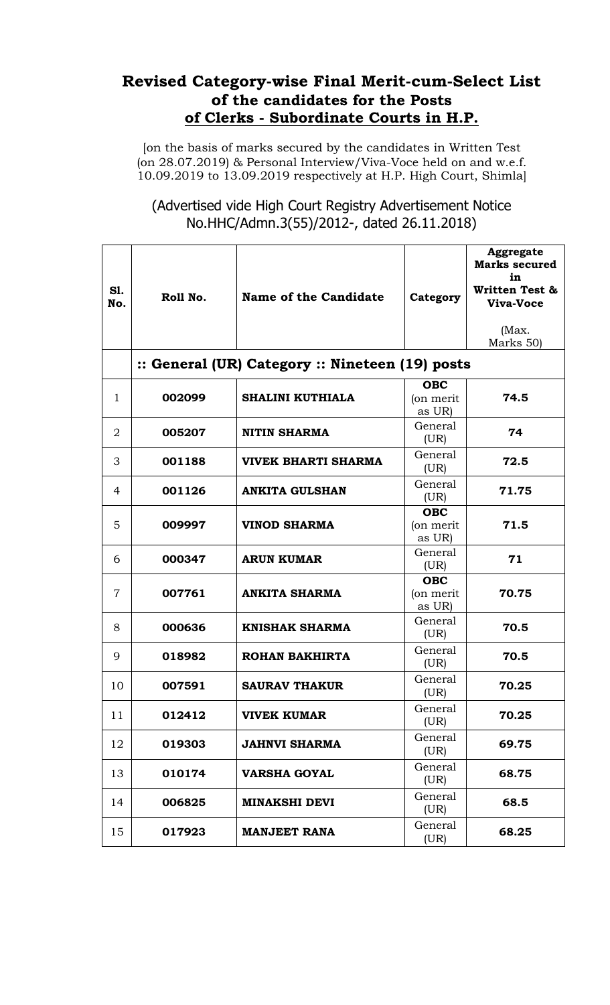## **Revised Category-wise Final Merit-cum-Select List of the candidates for the Posts of Clerks - Subordinate Courts in H.P.**

[on the basis of marks secured by the candidates in Written Test (on 28.07.2019) & Personal Interview/Viva-Voce held on and w.e.f. 10.09.2019 to 13.09.2019 respectively at H.P. High Court, Shimla]

(Advertised vide High Court Registry Advertisement Notice No.HHC/Admn.3(55)/2012-, dated 26.11.2018)

| S1.<br>No.     | Roll No.                                        | Name of the Candidate      | Category                          | <b>Aggregate</b><br><b>Marks secured</b><br>in<br><b>Written Test &amp;</b><br>Viva-Voce<br>(Max. |  |  |  |
|----------------|-------------------------------------------------|----------------------------|-----------------------------------|---------------------------------------------------------------------------------------------------|--|--|--|
|                |                                                 |                            |                                   | Marks 50)                                                                                         |  |  |  |
|                | :: General (UR) Category :: Nineteen (19) posts |                            |                                   |                                                                                                   |  |  |  |
| $\mathbf{1}$   | 002099                                          | <b>SHALINI KUTHIALA</b>    | <b>OBC</b><br>(on merit<br>as UR) | 74.5                                                                                              |  |  |  |
| 2              | 005207                                          | <b>NITIN SHARMA</b>        | General<br>(UR)                   | 74                                                                                                |  |  |  |
| 3              | 001188                                          | <b>VIVEK BHARTI SHARMA</b> | General<br>(UR)                   | 72.5                                                                                              |  |  |  |
| 4              | 001126                                          | <b>ANKITA GULSHAN</b>      | General<br>(UR)                   | 71.75                                                                                             |  |  |  |
| 5              | 009997                                          | <b>VINOD SHARMA</b>        | OBC<br>(on merit<br>as UR)        | 71.5                                                                                              |  |  |  |
| 6              | 000347                                          | <b>ARUN KUMAR</b>          | General<br>(UR)                   | 71                                                                                                |  |  |  |
| $\overline{7}$ | 007761                                          | <b>ANKITA SHARMA</b>       | <b>OBC</b><br>(on merit<br>as UR) | 70.75                                                                                             |  |  |  |
| 8              | 000636                                          | <b>KNISHAK SHARMA</b>      | General<br>(UR)                   | 70.5                                                                                              |  |  |  |
| 9              | 018982                                          | <b>ROHAN BAKHIRTA</b>      | General<br>(UR)                   | 70.5                                                                                              |  |  |  |
| 10             | 007591                                          | <b>SAURAV THAKUR</b>       | General<br>(UR)                   | 70.25                                                                                             |  |  |  |
| 11             | 012412                                          | <b>VIVEK KUMAR</b>         | General<br>(UR)                   | 70.25                                                                                             |  |  |  |
| 12             | 019303                                          | <b>JAHNVI SHARMA</b>       | General<br>(UR)                   | 69.75                                                                                             |  |  |  |
| 13             | 010174                                          | <b>VARSHA GOYAL</b>        | General<br>(UR)                   | 68.75                                                                                             |  |  |  |
| 14             | 006825                                          | <b>MINAKSHI DEVI</b>       | General<br>(UR)                   | 68.5                                                                                              |  |  |  |
| 15             | 017923                                          | <b>MANJEET RANA</b>        | General<br>(UR)                   | 68.25                                                                                             |  |  |  |